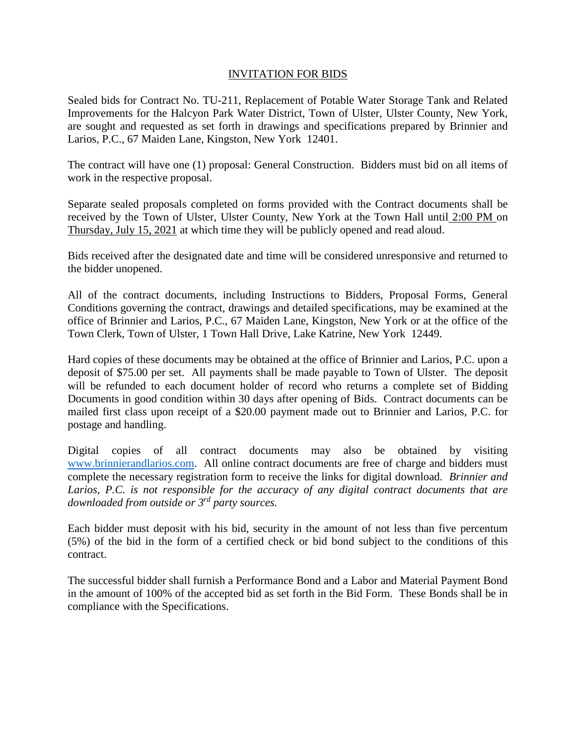## INVITATION FOR BIDS

Sealed bids for Contract No. TU-211, Replacement of Potable Water Storage Tank and Related Improvements for the Halcyon Park Water District, Town of Ulster, Ulster County, New York, are sought and requested as set forth in drawings and specifications prepared by Brinnier and Larios, P.C., 67 Maiden Lane, Kingston, New York 12401.

The contract will have one (1) proposal: General Construction. Bidders must bid on all items of work in the respective proposal.

Separate sealed proposals completed on forms provided with the Contract documents shall be received by the Town of Ulster, Ulster County, New York at the Town Hall until 2:00 PM on Thursday, July 15, 2021 at which time they will be publicly opened and read aloud.

Bids received after the designated date and time will be considered unresponsive and returned to the bidder unopened.

All of the contract documents, including Instructions to Bidders, Proposal Forms, General Conditions governing the contract, drawings and detailed specifications, may be examined at the office of Brinnier and Larios, P.C., 67 Maiden Lane, Kingston, New York or at the office of the Town Clerk, Town of Ulster, 1 Town Hall Drive, Lake Katrine, New York 12449.

Hard copies of these documents may be obtained at the office of Brinnier and Larios, P.C. upon a deposit of \$75.00 per set. All payments shall be made payable to Town of Ulster. The deposit will be refunded to each document holder of record who returns a complete set of Bidding Documents in good condition within 30 days after opening of Bids. Contract documents can be mailed first class upon receipt of a \$20.00 payment made out to Brinnier and Larios, P.C. for postage and handling.

Digital copies of all contract documents may also be obtained by visiting [www.brinnierandlarios.com.](http://www.brinnierandlarios.com/) All online contract documents are free of charge and bidders must complete the necessary registration form to receive the links for digital download. *Brinnier and Larios, P.C. is not responsible for the accuracy of any digital contract documents that are downloaded from outside or 3rd party sources.*

Each bidder must deposit with his bid, security in the amount of not less than five percentum (5%) of the bid in the form of a certified check or bid bond subject to the conditions of this contract.

The successful bidder shall furnish a Performance Bond and a Labor and Material Payment Bond in the amount of 100% of the accepted bid as set forth in the Bid Form. These Bonds shall be in compliance with the Specifications.